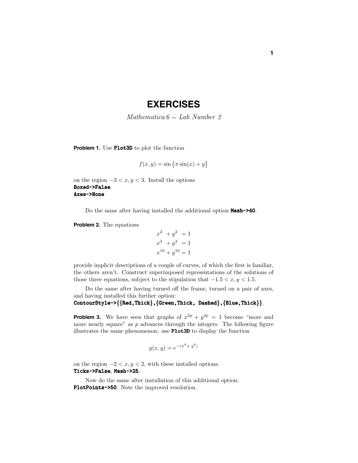## **EXERCISES**

Mathematica  $6 \sim$  Lab Number 2

**Problem 1.** Use Plot3D to plot the function

$$
f(x,y) = \sin\left\{\pi \sin(x) + y\right\}
$$

on the region  $-3 < x, y < 3$ . Install the options Boxed->False Axes->None

Do the same after having installed the additional option  $Mesh->40$ .

**Problem 2.** The equations

$$
x2 + y2 = 1
$$
  

$$
x3 + y3 = 1
$$
  

$$
x10 + y10 = 1
$$

provide implicit descriptions of a couple of curves, of which the first is familiar, the others aren't. Construct superimposed representations of the solutions of those three equations, subject to the stipulation that  $-1.5 < x, y < 1.5$ .

Do the same after having turned off the frame, turned on a pair of axes, and having installed this further option:

ContourStyle->{{Red,Thick},{Green,Thick, Dashed},{Blue,Thick}}.

**Problem 3.** We have seen that graphs of  $x^{2p} + y^{2p} = 1$  become "more and more nearly square" as *p* advances through the integers. The following figure illustrates the same phenomenon: use Plot3D to display the function

$$
g(x, y) = e^{-(x^8 + y^8)}
$$

on the region  $-2 < x, y < 2$ , with these installed options: Ticks->False, Mesh->25.

Now do the same after installation of this additional option: PlotPoints->50. Note the improved resolution.